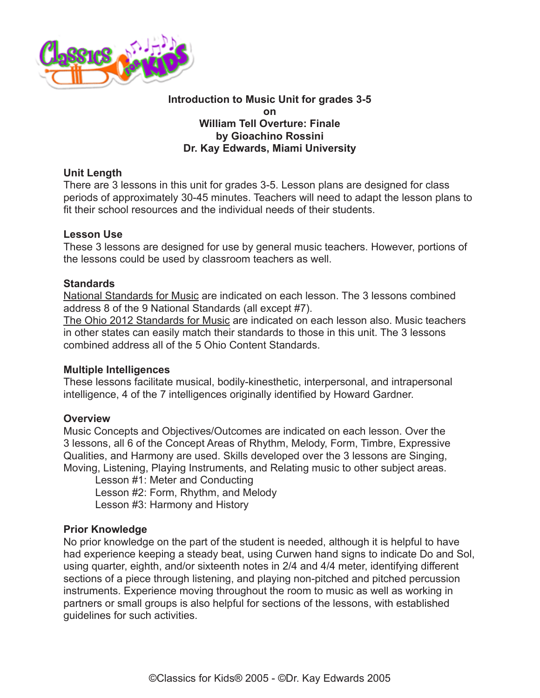

### **Introduction to Music Unit for grades 3-5 on William Tell Overture: Finale by Gioachino Rossini Dr. Kay Edwards, Miami University**

# **Unit Length**

There are 3 lessons in this unit for grades 3-5. Lesson plans are designed for class periods of approximately 30-45 minutes. Teachers will need to adapt the lesson plans to fit their school resources and the individual needs of their students.

### **Lesson Use**

These 3 lessons are designed for use by general music teachers. However, portions of the lessons could be used by classroom teachers as well.

### **Standards**

[National Standards for Music](http://www.classicsforkids.com/teachers/National_Standards_for_Music_Education.pdf) are indicated on each lesson. The 3 lessons combined address 8 of the 9 National Standards (all except #7).

[The Ohio 2012 Standards for Music](http://www.ode.state.oh.us/GD/Templates/Pages/ODE/ODEDetail.aspx?page=3&TopicRelationID=1700&ContentID=98202) are indicated on each lesson also. Music teachers in other states can easily match their standards to those in this unit. The 3 lessons combined address all of the 5 Ohio Content Standards.

#### **Multiple Intelligences**

These lessons facilitate musical, bodily-kinesthetic, interpersonal, and intrapersonal intelligence, 4 of the 7 intelligences originally identified by Howard Gardner.

# **Overview**

Music Concepts and Objectives/Outcomes are indicated on each lesson. Over the 3 lessons, all 6 of the Concept Areas of Rhythm, Melody, Form, Timbre, Expressive Qualities, and Harmony are used. Skills developed over the 3 lessons are Singing, Moving, Listening, Playing Instruments, and Relating music to other subject areas.

Lesson #1: Meter and Conducting Lesson #2: Form, Rhythm, and Melody Lesson #3: Harmony and History

# **Prior Knowledge**

No prior knowledge on the part of the student is needed, although it is helpful to have had experience keeping a steady beat, using Curwen hand signs to indicate Do and Sol, using quarter, eighth, and/or sixteenth notes in 2/4 and 4/4 meter, identifying different sections of a piece through listening, and playing non-pitched and pitched percussion instruments. Experience moving throughout the room to music as well as working in partners or small groups is also helpful for sections of the lessons, with established guidelines for such activities.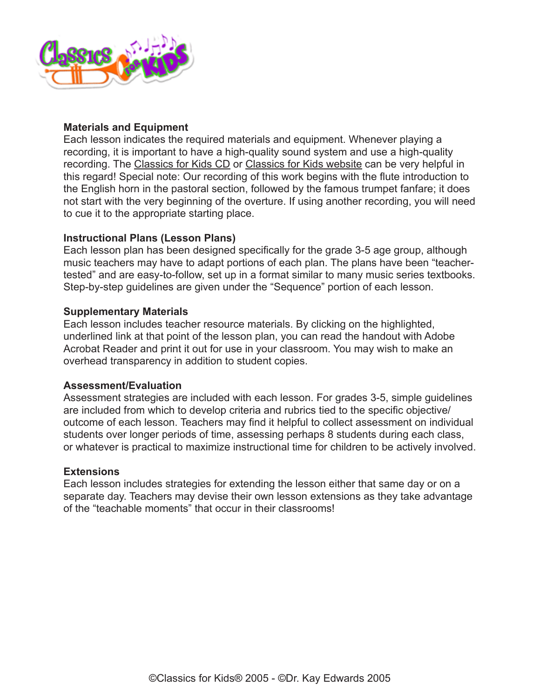

# **Materials and Equipment**

Each lesson indicates the required materials and equipment. Whenever playing a recording, it is important to have a high-quality sound system and use a high-quality recording. The [Classics for Kids CD](https://secure2.convio.net/cpr/site/Ecommerce/390168608?VIEW_PRODUCT=true&product_id=1080&store_id=1101) or [Classics for Kids website](http://www.classicsforkids.com) can be very helpful in this regard! Special note: Our recording of this work begins with the flute introduction to the English horn in the pastoral section, followed by the famous trumpet fanfare; it does not start with the very beginning of the overture. If using another recording, you will need to cue it to the appropriate starting place.

### **Instructional Plans (Lesson Plans)**

Each lesson plan has been designed specifically for the grade 3-5 age group, although music teachers may have to adapt portions of each plan. The plans have been "teachertested" and are easy-to-follow, set up in a format similar to many music series textbooks. Step-by-step guidelines are given under the "Sequence" portion of each lesson.

### **Supplementary Materials**

Each lesson includes teacher resource materials. By clicking on the highlighted, underlined link at that point of the lesson plan, you can read the handout with Adobe Acrobat Reader and print it out for use in your classroom. You may wish to make an overhead transparency in addition to student copies.

#### **Assessment/Evaluation**

Assessment strategies are included with each lesson. For grades 3-5, simple guidelines are included from which to develop criteria and rubrics tied to the specific objective/ outcome of each lesson. Teachers may find it helpful to collect assessment on individual students over longer periods of time, assessing perhaps 8 students during each class, or whatever is practical to maximize instructional time for children to be actively involved.

#### **Extensions**

Each lesson includes strategies for extending the lesson either that same day or on a separate day. Teachers may devise their own lesson extensions as they take advantage of the "teachable moments" that occur in their classrooms!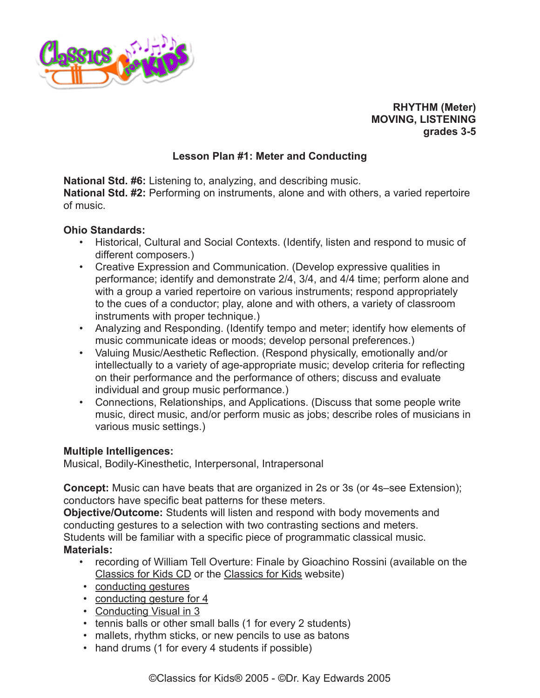

**RHYTHM (Meter) MOVING, LISTENING grades 3-5**

# **Lesson Plan #1: Meter and Conducting**

**National Std. #6:** Listening to, analyzing, and describing music. **National Std. #2:** Performing on instruments, alone and with others, a varied repertoire of music.

### **Ohio Standards:**

- Historical, Cultural and Social Contexts. (Identify, listen and respond to music of different composers.)
- Creative Expression and Communication. (Develop expressive qualities in performance; identify and demonstrate 2/4, 3/4, and 4/4 time; perform alone and with a group a varied repertoire on various instruments; respond appropriately to the cues of a conductor; play, alone and with others, a variety of classroom instruments with proper technique.)
- Analyzing and Responding. (Identify tempo and meter; identify how elements of music communicate ideas or moods; develop personal preferences.)
- Valuing Music/Aesthetic Reflection. (Respond physically, emotionally and/or intellectually to a variety of age-appropriate music; develop criteria for reflecting on their performance and the performance of others; discuss and evaluate individual and group music performance.)
- Connections, Relationships, and Applications. (Discuss that some people write music, direct music, and/or perform music as jobs; describe roles of musicians in various music settings.)

# **Multiple Intelligences:**

Musical, Bodily-Kinesthetic, Interpersonal, Intrapersonal

**Concept:** Music can have beats that are organized in 2s or 3s (or 4s–see Extension); conductors have specific beat patterns for these meters.

**Objective/Outcome:** Students will listen and respond with body movements and conducting gestures to a selection with two contrasting sections and meters. Students will be familiar with a specific piece of programmatic classical music. **Materials:**

- recording of William Tell Overture: Finale by Gioachino Rossini (available on the [Classics for Kids CD](https://secure2.convio.net/cpr/site/Ecommerce/390168608?VIEW_PRODUCT=true&product_id=1080&store_id=1101) or the [Classics for Kids](http://www.classicsforkids.com) website)
- [conducting gestures](http://www.classicsforkids.com/downloads/rossini/ConductingGestures.pdf)
- [conducting gesture for 4](http://www.classicsforkids.com/teachers/lessonplans/pdfs/rossini/ConductingGestureinFour4.pdf)
- [Conducting Visual in 3](http://www.classicsforkids.com/downloads/rossini/MeterVisualin3.pdf)
- tennis balls or other small balls (1 for every 2 students)
- mallets, rhythm sticks, or new pencils to use as batons
- hand drums (1 for every 4 students if possible)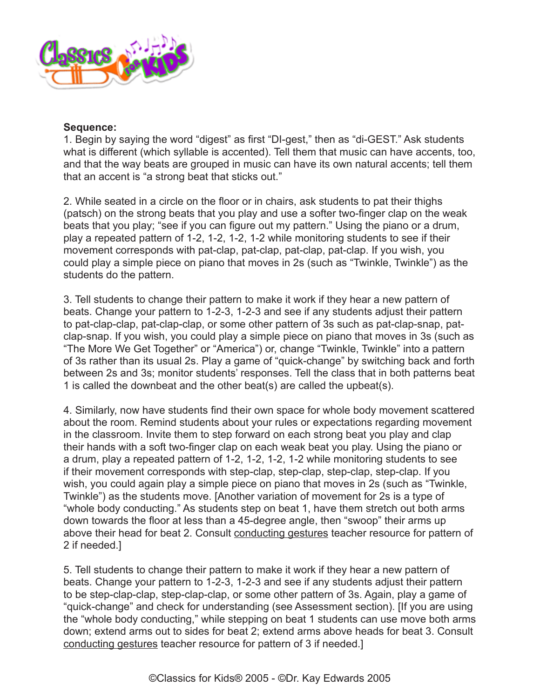

#### **Sequence:**

1. Begin by saying the word "digest" as first "DI-gest," then as "di-GEST." Ask students what is different (which syllable is accented). Tell them that music can have accents, too, and that the way beats are grouped in music can have its own natural accents; tell them that an accent is "a strong beat that sticks out."

2. While seated in a circle on the floor or in chairs, ask students to pat their thighs (patsch) on the strong beats that you play and use a softer two-finger clap on the weak beats that you play; "see if you can figure out my pattern." Using the piano or a drum, play a repeated pattern of 1-2, 1-2, 1-2, 1-2 while monitoring students to see if their movement corresponds with pat-clap, pat-clap, pat-clap, pat-clap. If you wish, you could play a simple piece on piano that moves in 2s (such as "Twinkle, Twinkle") as the students do the pattern.

3. Tell students to change their pattern to make it work if they hear a new pattern of beats. Change your pattern to 1-2-3, 1-2-3 and see if any students adjust their pattern to pat-clap-clap, pat-clap-clap, or some other pattern of 3s such as pat-clap-snap, patclap-snap. If you wish, you could play a simple piece on piano that moves in 3s (such as "The More We Get Together" or "America") or, change "Twinkle, Twinkle" into a pattern of 3s rather than its usual 2s. Play a game of "quick-change" by switching back and forth between 2s and 3s; monitor students' responses. Tell the class that in both patterns beat 1 is called the downbeat and the other beat(s) are called the upbeat(s).

4. Similarly, now have students find their own space for whole body movement scattered about the room. Remind students about your rules or expectations regarding movement in the classroom. Invite them to step forward on each strong beat you play and clap their hands with a soft two-finger clap on each weak beat you play. Using the piano or a drum, play a repeated pattern of 1-2, 1-2, 1-2, 1-2 while monitoring students to see if their movement corresponds with step-clap, step-clap, step-clap, step-clap. If you wish, you could again play a simple piece on piano that moves in 2s (such as "Twinkle, Twinkle") as the students move. [Another variation of movement for 2s is a type of "whole body conducting." As students step on beat 1, have them stretch out both arms down towards the floor at less than a 45-degree angle, then "swoop" their arms up above their head for beat 2. Consult [conducting gestures](http://www.classicsforkids.com/downloads/rossini/ConductingGestures.pdf) teacher resource for pattern of 2 if needed.]

5. Tell students to change their pattern to make it work if they hear a new pattern of beats. Change your pattern to 1-2-3, 1-2-3 and see if any students adjust their pattern to be step-clap-clap, step-clap-clap, or some other pattern of 3s. Again, play a game of "quick-change" and check for understanding (see Assessment section). [If you are using the "whole body conducting," while stepping on beat 1 students can use move both arms down; extend arms out to sides for beat 2; extend arms above heads for beat 3. Consult [conducting gestures](http://www.classicsforkids.com/downloads/rossini/ConductingGestures.pdf) teacher resource for pattern of 3 if needed.]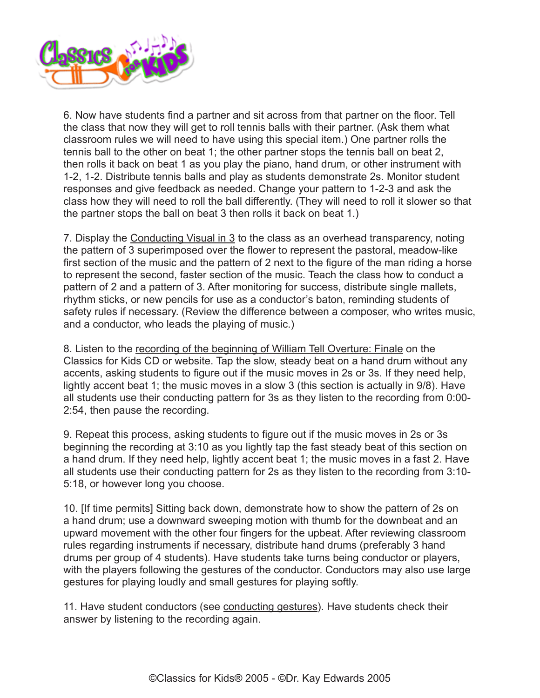

6. Now have students find a partner and sit across from that partner on the floor. Tell the class that now they will get to roll tennis balls with their partner. (Ask them what classroom rules we will need to have using this special item.) One partner rolls the tennis ball to the other on beat 1; the other partner stops the tennis ball on beat 2, then rolls it back on beat 1 as you play the piano, hand drum, or other instrument with 1-2, 1-2. Distribute tennis balls and play as students demonstrate 2s. Monitor student responses and give feedback as needed. Change your pattern to 1-2-3 and ask the class how they will need to roll the ball differently. (They will need to roll it slower so that the partner stops the ball on beat 3 then rolls it back on beat 1.)

7. Display the Conducting Visual in 3 to the class as an overhead transparency, noting the pattern of 3 superimposed over the flower to represent the pastoral, meadow-like first section of the music and the pattern of 2 next to the figure of the man riding a horse to represent the second, faster section of the music. Teach the class how to conduct a pattern of 2 and a pattern of 3. After monitoring for success, distribute single mallets, rhythm sticks, or new pencils for use as a conductor's baton, reminding students of safety rules if necessary. (Review the difference between a composer, who writes music, and a conductor, who leads the playing of music.)

8. Listen to the [recording of the beginning of William Tell Overture: Finale](http://www.classicsforkids.com/music/hearthemusic.php?id=21) on the Classics for Kids CD or website. Tap the slow, steady beat on a hand drum without any accents, asking students to figure out if the music moves in 2s or 3s. If they need help, lightly accent beat 1; the music moves in a slow 3 (this section is actually in 9/8). Have all students use their conducting pattern for 3s as they listen to the recording from 0:00- 2:54, then pause the recording.

9. Repeat this process, asking students to figure out if the music moves in 2s or 3s beginning the recording at 3:10 as you lightly tap the fast steady beat of this section on a hand drum. If they need help, lightly accent beat 1; the music moves in a fast 2. Have all students use their conducting pattern for 2s as they listen to the recording from 3:10- 5:18, or however long you choose.

10. [If time permits] Sitting back down, demonstrate how to show the pattern of 2s on a hand drum; use a downward sweeping motion with thumb for the downbeat and an upward movement with the other four fingers for the upbeat. After reviewing classroom rules regarding instruments if necessary, distribute hand drums (preferably 3 hand drums per group of 4 students). Have students take turns being conductor or players, with the players following the gestures of the conductor. Conductors may also use large gestures for playing loudly and small gestures for playing softly.

11. Have student conductors (see [conducting gestures](http://www.classicsforkids.com/downloads/rossini/ConductingGestures.pdf)). Have students check their answer by listening to the recording again.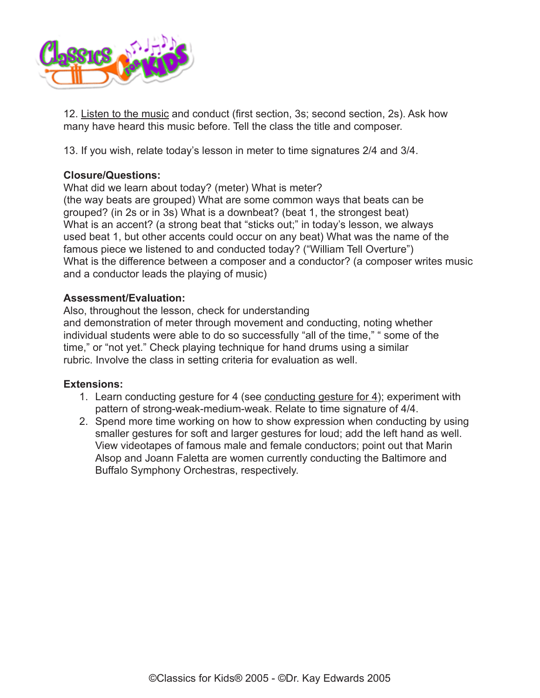

12. [Listen to the music](http://www.classicsforkids.com/music/hearthemusic.php?id=21) and conduct (first section, 3s; second section, 2s). Ask how many have heard this music before. Tell the class the title and composer.

13. If you wish, relate today's lesson in meter to time signatures 2/4 and 3/4.

### **Closure/Questions:**

What did we learn about today? (meter) What is meter?

(the way beats are grouped) What are some common ways that beats can be grouped? (in 2s or in 3s) What is a downbeat? (beat 1, the strongest beat) What is an accent? (a strong beat that "sticks out;" in today's lesson, we always used beat 1, but other accents could occur on any beat) What was the name of the famous piece we listened to and conducted today? ("William Tell Overture") What is the difference between a composer and a conductor? (a composer writes music and a conductor leads the playing of music)

# **Assessment/Evaluation:**

Also, throughout the lesson, check for understanding and demonstration of meter through movement and conducting, noting whether individual students were able to do so successfully "all of the time," " some of the time," or "not yet." Check playing technique for hand drums using a similar rubric. Involve the class in setting criteria for evaluation as well.

# **Extensions:**

- 1. Learn conducting gesture for 4 (see [conducting gesture for 4](http://www.classicsforkids.com/teachers/lessonplans/pdfs/rossini/ConductingGestureinFour4.pdf)); experiment with pattern of strong-weak-medium-weak. Relate to time signature of 4/4.
- 2. Spend more time working on how to show expression when conducting by using smaller gestures for soft and larger gestures for loud; add the left hand as well. View videotapes of famous male and female conductors; point out that Marin Alsop and Joann Faletta are women currently conducting the Baltimore and Buffalo Symphony Orchestras, respectively.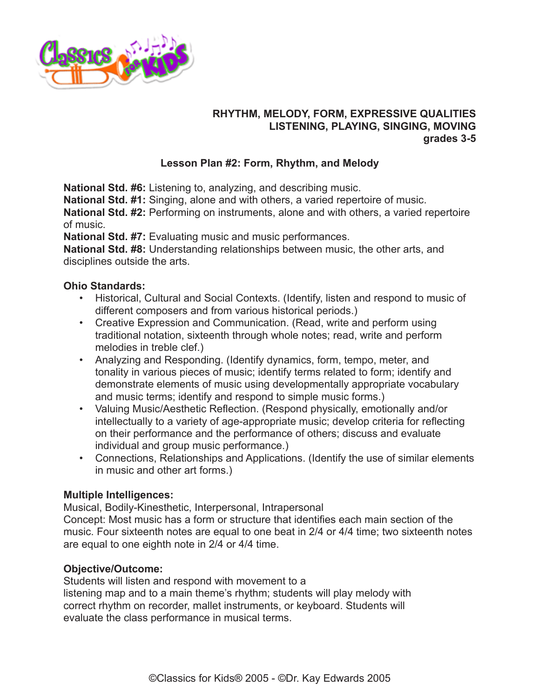

# **RHYTHM, MELODY, FORM, EXPRESSIVE QUALITIES LISTENING, PLAYING, SINGING, MOVING grades 3-5**

# **Lesson Plan #2: Form, Rhythm, and Melody**

**National Std. #6:** Listening to, analyzing, and describing music.

**National Std. #1:** Singing, alone and with others, a varied repertoire of music.

**National Std. #2:** Performing on instruments, alone and with others, a varied repertoire of music.

**National Std. #7:** Evaluating music and music performances.

**National Std. #8:** Understanding relationships between music, the other arts, and disciplines outside the arts.

# **Ohio Standards:**

- Historical, Cultural and Social Contexts. (Identify, listen and respond to music of different composers and from various historical periods.)
- Creative Expression and Communication. (Read, write and perform using traditional notation, sixteenth through whole notes; read, write and perform melodies in treble clef.)
- Analyzing and Responding. (Identify dynamics, form, tempo, meter, and tonality in various pieces of music; identify terms related to form; identify and demonstrate elements of music using developmentally appropriate vocabulary and music terms; identify and respond to simple music forms.)
- Valuing Music/Aesthetic Reflection. (Respond physically, emotionally and/or intellectually to a variety of age-appropriate music; develop criteria for reflecting on their performance and the performance of others; discuss and evaluate individual and group music performance.)
- Connections, Relationships and Applications. (Identify the use of similar elements in music and other art forms.)

# **Multiple Intelligences:**

Musical, Bodily-Kinesthetic, Interpersonal, Intrapersonal Concept: Most music has a form or structure that identifies each main section of the music. Four sixteenth notes are equal to one beat in 2/4 or 4/4 time; two sixteenth notes are equal to one eighth note in 2/4 or 4/4 time.

# **Objective/Outcome:**

Students will listen and respond with movement to a listening map and to a main theme's rhythm; students will play melody with correct rhythm on recorder, mallet instruments, or keyboard. Students will evaluate the class performance in musical terms.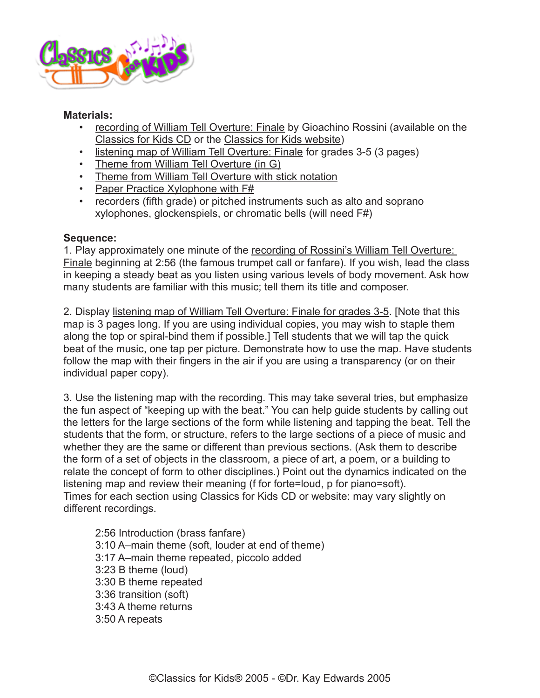

### **Materials:**

- [recording of William Tell Overture: Finale](http://www.classicsforkids.com/music/hearthemusic.php?id=21) by Gioachino Rossini (available on the [Classics for Kids CD](https://secure2.convio.net/cpr/site/Ecommerce/390168608?VIEW_PRODUCT=true&product_id=1080&store_id=1101) or the [Classics for Kids website](http://www.classicsforkids.com))
- [listening map of William Tell Overture: Finale](http://www.classicsforkids.com/downloads/rossini/WlmTellTapchart3-5.pdf) for grades 3-5 (3 pages)
- [Theme from William Tell Overture \(in G\)](http://www.classicsforkids.com/downloads/rossini/WlmTellforRecorder.pdf)
- [Theme from William Tell Overture with stick notation](http://www.classicsforkids.com/downloads/rossini/WlmTellStickNotation.pdf)
- [Paper Practice Xylophone with F#](http://www.classicsforkids.com/downloads/rossini/PaperXyloBasicandFs.pdf)
- recorders (fifth grade) or pitched instruments such as alto and soprano xylophones, glockenspiels, or chromatic bells (will need F#)

# **Sequence:**

1. Play approximately one minute of the [recording of Rossini's William Tell Overture:](http://www.classicsforkids.com/music/hearthemusic.php?id=21)  [Finale](http://www.classicsforkids.com/music/hearthemusic.php?id=21) beginning at 2:56 (the famous trumpet call or fanfare). If you wish, lead the class in keeping a steady beat as you listen using various levels of body movement. Ask how many students are familiar with this music; tell them its title and composer.

2. Display [listening map of William Tell Overture: Finale for grades 3-5](http://www.classicsforkids.com/downloads/rossini/WlmTellTapchart3-5.pdf). [Note that this map is 3 pages long. If you are using individual copies, you may wish to staple them along the top or spiral-bind them if possible.] Tell students that we will tap the quick beat of the music, one tap per picture. Demonstrate how to use the map. Have students follow the map with their fingers in the air if you are using a transparency (or on their individual paper copy).

3. Use the listening map with the recording. This may take several tries, but emphasize the fun aspect of "keeping up with the beat." You can help guide students by calling out the letters for the large sections of the form while listening and tapping the beat. Tell the students that the form, or structure, refers to the large sections of a piece of music and whether they are the same or different than previous sections. (Ask them to describe the form of a set of objects in the classroom, a piece of art, a poem, or a building to relate the concept of form to other disciplines.) Point out the dynamics indicated on the listening map and review their meaning (f for forte=loud, p for piano=soft). Times for each section using Classics for Kids CD or website: may vary slightly on different recordings.

2:56 Introduction (brass fanfare) 3:10 A–main theme (soft, louder at end of theme) 3:17 A–main theme repeated, piccolo added 3:23 B theme (loud) 3:30 B theme repeated 3:36 transition (soft) 3:43 A theme returns 3:50 A repeats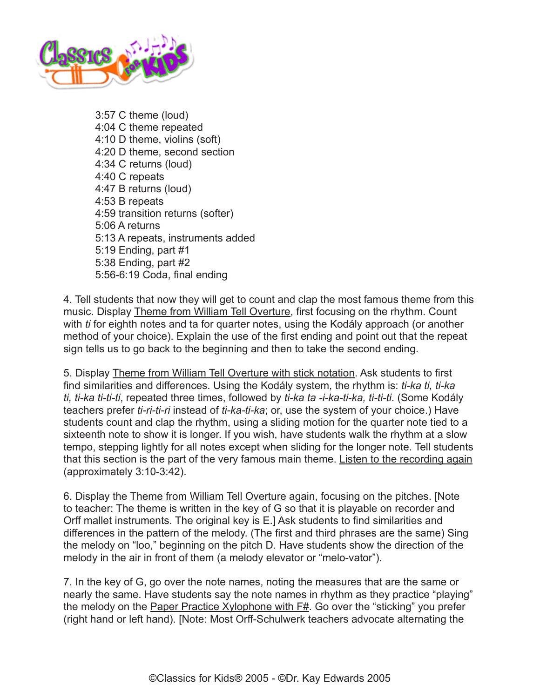

3:57 C theme (loud) 4:04 C theme repeated 4:10 D theme, violins (soft) 4:20 D theme, second section 4:34 C returns (loud) 4:40 C repeats 4:47 B returns (loud) 4:53 B repeats 4:59 transition returns (softer) 5:06 A returns 5:13 A repeats, instruments added 5:19 Ending, part #1 5:38 Ending, part #2 5:56-6:19 Coda, final ending

4. Tell students that now they will get to count and clap the most famous theme from this music. Display [Theme from William Tell Overture](http://www.classicsforkids.com/downloads/rossini/WlmTellforRecorder.pdf), first focusing on the rhythm. Count with *ti* for eighth notes and ta for quarter notes, using the Kodály approach (or another method of your choice). Explain the use of the first ending and point out that the repeat sign tells us to go back to the beginning and then to take the second ending.

5. Display [Theme from William Tell Overture with stick notation](http://www.classicsforkids.com/downloads/rossini/WlmTellStickNotation.pdf). Ask students to first find similarities and differences. Using the Kodály system, the rhythm is: *ti-ka ti, ti-ka ti, ti-ka ti-ti-ti*, repeated three times, followed by *ti-ka ta -i-ka-ti-ka, ti-ti-ti*. (Some Kodály teachers prefer *ti-ri-ti-ri* instead of *ti-ka-ti-ka*; or, use the system of your choice.) Have students count and clap the rhythm, using a sliding motion for the quarter note tied to a sixteenth note to show it is longer. If you wish, have students walk the rhythm at a slow tempo, stepping lightly for all notes except when sliding for the longer note. Tell students that this section is the part of the very famous main theme. [Listen to the recording again](http://www.classicsforkids.com/music/hearthemusic.php?id=21) (approximately 3:10-3:42).

6. Display the [Theme from William Tell Overture](http://www.classicsforkids.com/downloads/rossini/WlmTellforRecorder.pdf) again, focusing on the pitches. [Note to teacher: The theme is written in the key of G so that it is playable on recorder and Orff mallet instruments. The original key is E.] Ask students to find similarities and differences in the pattern of the melody. (The first and third phrases are the same) Sing the melody on "loo," beginning on the pitch D. Have students show the direction of the melody in the air in front of them (a melody elevator or "melo-vator").

7. In the key of G, go over the note names, noting the measures that are the same or nearly the same. Have students say the note names in rhythm as they practice "playing" the melody on the [Paper Practice Xylophone with F#](http://www.classicsforkids.com/downloads/rossini/PaperXyloBasicandFs.pdf). Go over the "sticking" you prefer (right hand or left hand). [Note: Most Orff-Schulwerk teachers advocate alternating the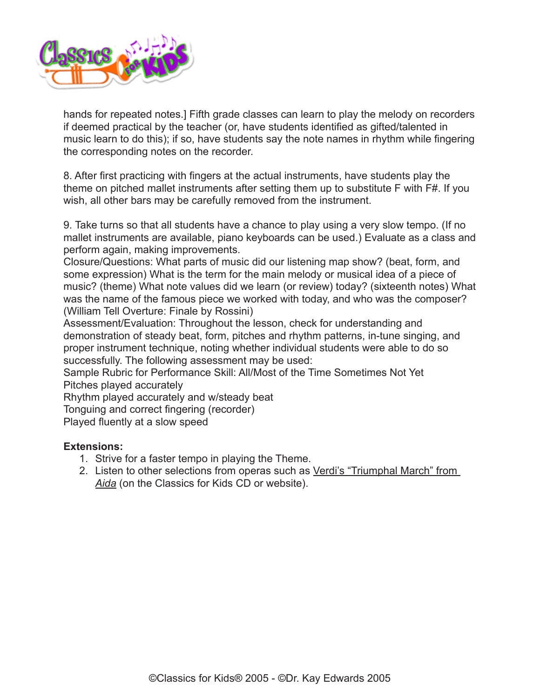

hands for repeated notes.] Fifth grade classes can learn to play the melody on recorders if deemed practical by the teacher (or, have students identified as gifted/talented in music learn to do this); if so, have students say the note names in rhythm while fingering the corresponding notes on the recorder.

8. After first practicing with fingers at the actual instruments, have students play the theme on pitched mallet instruments after setting them up to substitute F with F#. If you wish, all other bars may be carefully removed from the instrument.

9. Take turns so that all students have a chance to play using a very slow tempo. (If no mallet instruments are available, piano keyboards can be used.) Evaluate as a class and perform again, making improvements.

Closure/Questions: What parts of music did our listening map show? (beat, form, and some expression) What is the term for the main melody or musical idea of a piece of music? (theme) What note values did we learn (or review) today? (sixteenth notes) What was the name of the famous piece we worked with today, and who was the composer? (William Tell Overture: Finale by Rossini)

Assessment/Evaluation: Throughout the lesson, check for understanding and demonstration of steady beat, form, pitches and rhythm patterns, in-tune singing, and proper instrument technique, noting whether individual students were able to do so successfully. The following assessment may be used:

Sample Rubric for Performance Skill: All/Most of the Time Sometimes Not Yet Pitches played accurately

Rhythm played accurately and w/steady beat

Tonguing and correct fingering (recorder)

Played fluently at a slow speed

# **Extensions:**

- 1. Strive for a faster tempo in playing the Theme.
- 2. Listen to other selections from operas such as [Verdi's "Triumphal March" from](http://www.classicsforkids.com/music/hearthemusic.php?id=29)  *[Aida](http://www.classicsforkids.com/music/hearthemusic.php?id=29)* (on the Classics for Kids CD or website).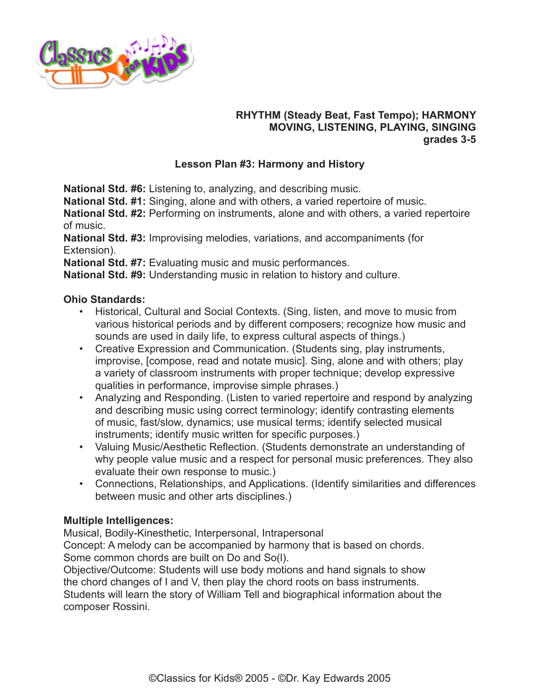

# **RHYTHM (Steady Beat, Fast Tempo); HARMONY MOVING, LISTENING, PLAYING, SINGING grades 3-5**

# **Lesson Plan #3: Harmony and History**

**National Std. #6:** Listening to, analyzing, and describing music.

**National Std. #1:** Singing, alone and with others, a varied repertoire of music.

**National Std. #2:** Performing on instruments, alone and with others, a varied repertoire of music.

**National Std. #3:** Improvising melodies, variations, and accompaniments (for Extension).

**National Std. #7:** Evaluating music and music performances.

**National Std. #9:** Understanding music in relation to history and culture.

### **Ohio Standards:**

- Historical, Cultural and Social Contexts. (Sing, listen, and move to music from various historical periods and by different composers; recognize how music and sounds are used in daily life, to express cultural aspects of things.)
- Creative Expression and Communication. (Students sing, play instruments, improvise, [compose, read and notate music]. Sing, alone and with others; play a variety of classroom instruments with proper technique; develop expressive qualities in performance, improvise simple phrases.)
- Analyzing and Responding. (Listen to varied repertoire and respond by analyzing and describing music using correct terminology; identify contrasting elements of music, fast/slow, dynamics; use musical terms; identify selected musical instruments; identify music written for specific purposes.)
- Valuing Music/Aesthetic Reflection. (Students demonstrate an understanding of why people value music and a respect for personal music preferences. They also evaluate their own response to music.)
- Connections, Relationships, and Applications. (Identify similarities and differences between music and other arts disciplines.)

# **Multiple Intelligences:**

Musical, Bodily-Kinesthetic, Interpersonal, Intrapersonal

Concept: A melody can be accompanied by harmony that is based on chords. Some common chords are built on Do and So(l).

Objective/Outcome: Students will use body motions and hand signals to show the chord changes of I and V, then play the chord roots on bass instruments. Students will learn the story of William Tell and biographical information about the composer Rossini.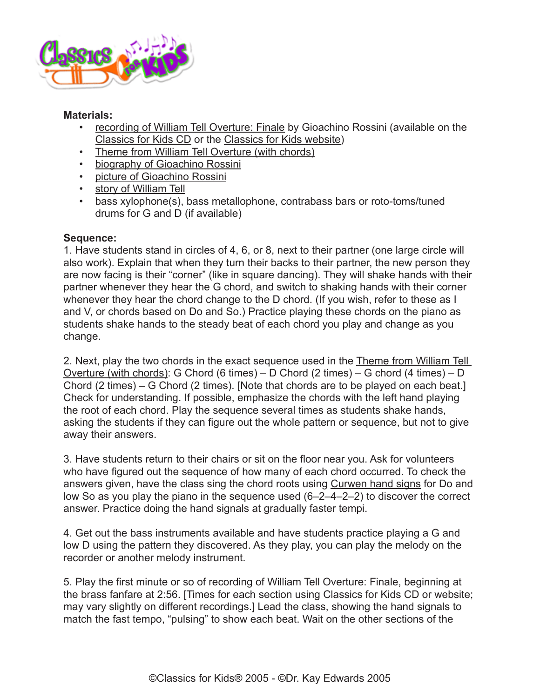

#### **Materials:**

- [recording of William Tell Overture: Finale](http://www.classicsforkids.com/music/hearthemusic.php?id=21) by Gioachino Rossini (available on the [Classics for Kids CD](https://secure2.convio.net/cpr/site/Ecommerce/390168608?VIEW_PRODUCT=true&product_id=1080&store_id=1101) or the [Classics for Kids website](http://www.classicsforkids.com))
- [Theme from William Tell Overture \(with chords\)](http://www.classicsforkids.com/downloads/rossini/WlmTellRecin2withChords.pdf)
- [biography of Gioachino Rossini](http://classicsforkids.com/composers/composer_profile.php?id=59)
- [picture of Gioachino Rossini](http://classicsforkids.com/composers/composer_profile.php?id=59)
- [story of William Tell](http://www.classicsforkids.com/activitysheets/February2004.pdf)
- bass xylophone(s), bass metallophone, contrabass bars or roto-toms/tuned drums for G and D (if available)

### **Sequence:**

1. Have students stand in circles of 4, 6, or 8, next to their partner (one large circle will also work). Explain that when they turn their backs to their partner, the new person they are now facing is their "corner" (like in square dancing). They will shake hands with their partner whenever they hear the G chord, and switch to shaking hands with their corner whenever they hear the chord change to the D chord. (If you wish, refer to these as I and V, or chords based on Do and So.) Practice playing these chords on the piano as students shake hands to the steady beat of each chord you play and change as you change.

2. Next, play the two chords in the exact sequence used in the [Theme from William Tell](http://www.classicsforkids.com/downloads/rossini/WlmTellRecin2withChords.pdf)  [Overture \(with chords\)](http://www.classicsforkids.com/downloads/rossini/WlmTellRecin2withChords.pdf): G Chord (6 times) – D Chord (2 times) – G chord (4 times) – D Chord (2 times) – G Chord (2 times). [Note that chords are to be played on each beat.] Check for understanding. If possible, emphasize the chords with the left hand playing the root of each chord. Play the sequence several times as students shake hands, asking the students if they can figure out the whole pattern or sequence, but not to give away their answers.

3. Have students return to their chairs or sit on the floor near you. Ask for volunteers who have figured out the sequence of how many of each chord occurred. To check the answers given, have the class sing the chord roots using [Curwen hand signs](http://www.classicsforkids.com/downloads/kodaly/KodalyHandSigns.pdf) for Do and low So as you play the piano in the sequence used (6–2–4–2–2) to discover the correct answer. Practice doing the hand signals at gradually faster tempi.

4. Get out the bass instruments available and have students practice playing a G and low D using the pattern they discovered. As they play, you can play the melody on the recorder or another melody instrument.

5. Play the first minute or so of [recording of William Tell Overture: Finale,](http://www.classicsforkids.com/music/hearthemusic.php?id=21) beginning at the brass fanfare at 2:56. [Times for each section using Classics for Kids CD or website; may vary slightly on different recordings.] Lead the class, showing the hand signals to match the fast tempo, "pulsing" to show each beat. Wait on the other sections of the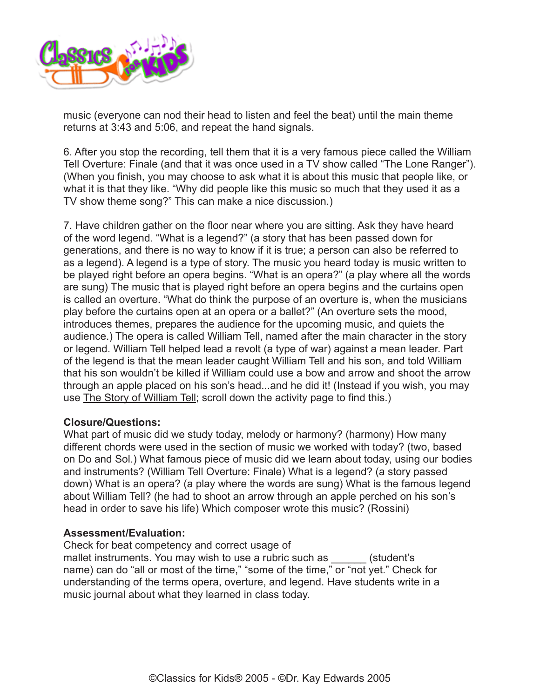

music (everyone can nod their head to listen and feel the beat) until the main theme returns at 3:43 and 5:06, and repeat the hand signals.

6. After you stop the recording, tell them that it is a very famous piece called the William Tell Overture: Finale (and that it was once used in a TV show called "The Lone Ranger"). (When you finish, you may choose to ask what it is about this music that people like, or what it is that they like. "Why did people like this music so much that they used it as a TV show theme song?" This can make a nice discussion.)

7. Have children gather on the floor near where you are sitting. Ask they have heard of the word legend. "What is a legend?" (a story that has been passed down for generations, and there is no way to know if it is true; a person can also be referred to as a legend). A legend is a type of story. The music you heard today is music written to be played right before an opera begins. "What is an opera?" (a play where all the words are sung) The music that is played right before an opera begins and the curtains open is called an overture. "What do think the purpose of an overture is, when the musicians play before the curtains open at an opera or a ballet?" (An overture sets the mood, introduces themes, prepares the audience for the upcoming music, and quiets the audience.) The opera is called William Tell, named after the main character in the story or legend. William Tell helped lead a revolt (a type of war) against a mean leader. Part of the legend is that the mean leader caught William Tell and his son, and told William that his son wouldn't be killed if William could use a bow and arrow and shoot the arrow through an apple placed on his son's head...and he did it! (Instead if you wish, you may use [The Story of William Tell](http://www.classicsforkids.com/activitysheets/February2004.pdf); scroll down the activity page to find this.)

#### **Closure/Questions:**

What part of music did we study today, melody or harmony? (harmony) How many different chords were used in the section of music we worked with today? (two, based on Do and Sol.) What famous piece of music did we learn about today, using our bodies and instruments? (William Tell Overture: Finale) What is a legend? (a story passed down) What is an opera? (a play where the words are sung) What is the famous legend about William Tell? (he had to shoot an arrow through an apple perched on his son's head in order to save his life) Which composer wrote this music? (Rossini)

#### **Assessment/Evaluation:**

Check for beat competency and correct usage of

mallet instruments. You may wish to use a rubric such as  $(student's)$ name) can do "all or most of the time," "some of the time," or "not yet." Check for understanding of the terms opera, overture, and legend. Have students write in a music journal about what they learned in class today.